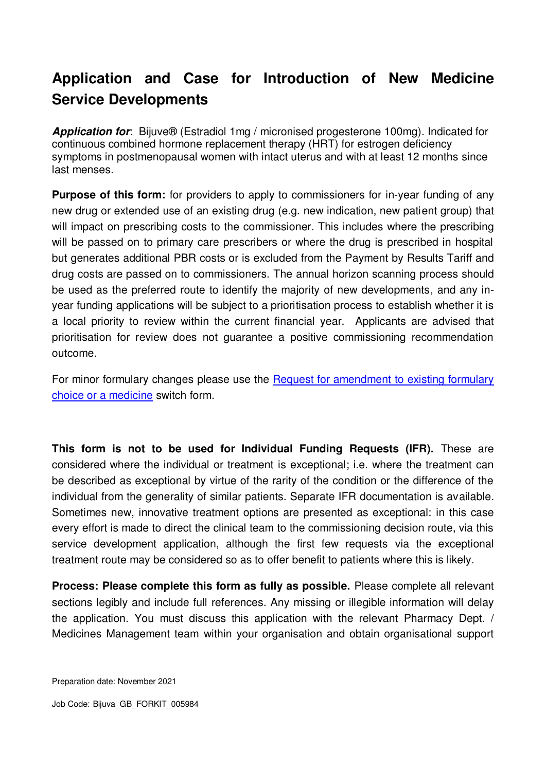# **Application and Case for Introduction of New Medicine Service Developments**

*Application for*: Bijuve® (Estradiol 1mg / micronised progesterone 100mg). Indicated for continuous combined hormone replacement therapy (HRT) for estrogen deficiency symptoms in postmenopausal women with intact uterus and with at least 12 months since last menses.

**Purpose of this form:** for providers to apply to commissioners for in-year funding of any new drug or extended use of an existing drug (e.g. new indication, new patient group) that will impact on prescribing costs to the commissioner. This includes where the prescribing will be passed on to primary care prescribers or where the drug is prescribed in hospital but generates additional PBR costs or is excluded from the Payment by Results Tariff and drug costs are passed on to commissioners. The annual horizon scanning process should be used as the preferred route to identify the majority of new developments, and any inyear funding applications will be subject to a prioritisation process to establish whether it is a local priority to review within the current financial year. Applicants are advised that prioritisation for review does not guarantee a positive commissioning recommendation outcome.

For minor formulary changes please use the [Request for amendment to existing formulary](http://www.panmerseyapc.nhs.uk/home/new_service/T8.doc)  [choice or a medicine](http://www.panmerseyapc.nhs.uk/home/new_service/T8.doc) switch form.

**This form is not to be used for Individual Funding Requests (IFR).** These are considered where the individual or treatment is exceptional; i.e. where the treatment can be described as exceptional by virtue of the rarity of the condition or the difference of the individual from the generality of similar patients. Separate IFR documentation is available. Sometimes new, innovative treatment options are presented as exceptional: in this case every effort is made to direct the clinical team to the commissioning decision route, via this service development application, although the first few requests via the exceptional treatment route may be considered so as to offer benefit to patients where this is likely.

**Process: Please complete this form as fully as possible.** Please complete all relevant sections legibly and include full references. Any missing or illegible information will delay the application. You must discuss this application with the relevant Pharmacy Dept. / Medicines Management team within your organisation and obtain organisational support

Preparation date: November 2021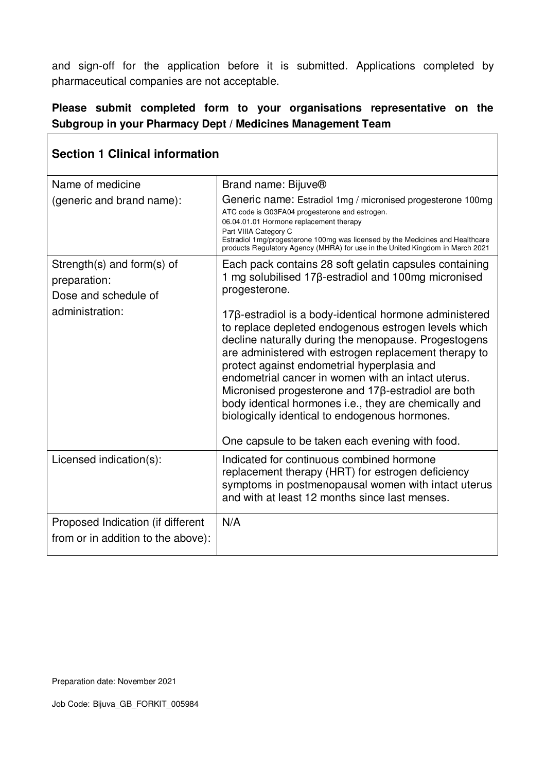and sign-off for the application before it is submitted. Applications completed by pharmaceutical companies are not acceptable.

#### **Please submit completed form to your organisations representative on the Subgroup in your Pharmacy Dept / Medicines Management Team**

| <b>Section 1 Clinical information</b> |                                                                                                                                                                                                                                                                                                                                                                                                                                                                                                                                                          |
|---------------------------------------|----------------------------------------------------------------------------------------------------------------------------------------------------------------------------------------------------------------------------------------------------------------------------------------------------------------------------------------------------------------------------------------------------------------------------------------------------------------------------------------------------------------------------------------------------------|
| Name of medicine                      | Brand name: Bijuve®                                                                                                                                                                                                                                                                                                                                                                                                                                                                                                                                      |
| (generic and brand name):             | Generic name: Estradiol 1mg / micronised progesterone 100mg<br>ATC code is G03FA04 progesterone and estrogen.<br>06.04.01.01 Hormone replacement therapy<br>Part VIIIA Category C<br>Estradiol 1mg/progesterone 100mg was licensed by the Medicines and Healthcare<br>products Regulatory Agency (MHRA) for use in the United Kingdom in March 2021                                                                                                                                                                                                      |
| Strength(s) and form(s) of            | Each pack contains 28 soft gelatin capsules containing                                                                                                                                                                                                                                                                                                                                                                                                                                                                                                   |
| preparation:                          | 1 mg solubilised 17β-estradiol and 100mg micronised<br>progesterone.                                                                                                                                                                                                                                                                                                                                                                                                                                                                                     |
| Dose and schedule of                  |                                                                                                                                                                                                                                                                                                                                                                                                                                                                                                                                                          |
| administration:                       | 17β-estradiol is a body-identical hormone administered<br>to replace depleted endogenous estrogen levels which<br>decline naturally during the menopause. Progestogens<br>are administered with estrogen replacement therapy to<br>protect against endometrial hyperplasia and<br>endometrial cancer in women with an intact uterus.<br>Micronised progesterone and 17β-estradiol are both<br>body identical hormones i.e., they are chemically and<br>biologically identical to endogenous hormones.<br>One capsule to be taken each evening with food. |
| Licensed indication(s):               | Indicated for continuous combined hormone<br>replacement therapy (HRT) for estrogen deficiency<br>symptoms in postmenopausal women with intact uterus<br>and with at least 12 months since last menses.                                                                                                                                                                                                                                                                                                                                                  |
| Proposed Indication (if different     | N/A                                                                                                                                                                                                                                                                                                                                                                                                                                                                                                                                                      |
| from or in addition to the above):    |                                                                                                                                                                                                                                                                                                                                                                                                                                                                                                                                                          |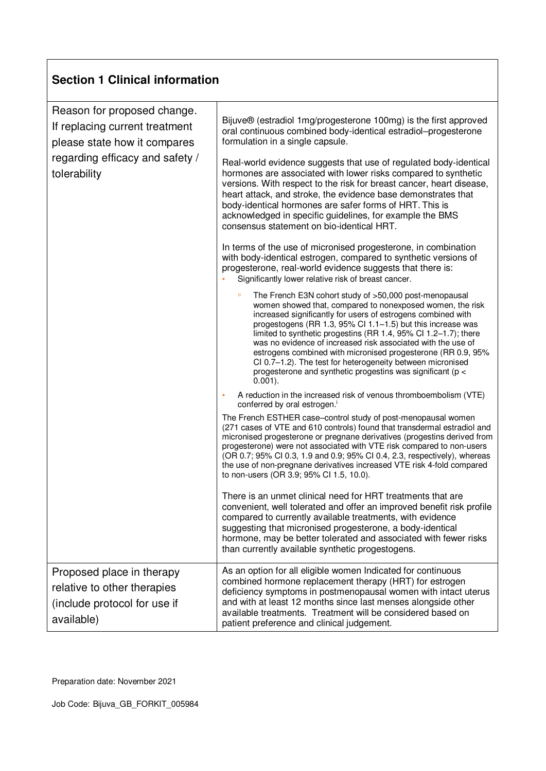| Reason for proposed change.<br>If replacing current treatment<br>please state how it compares<br>regarding efficacy and safety /<br>tolerability | Bijuve® (estradiol 1mg/progesterone 100mg) is the first approved<br>oral continuous combined body-identical estradiol-progesterone<br>formulation in a single capsule.<br>Real-world evidence suggests that use of regulated body-identical<br>hormones are associated with lower risks compared to synthetic<br>versions. With respect to the risk for breast cancer, heart disease,<br>heart attack, and stroke, the evidence base demonstrates that<br>body-identical hormones are safer forms of HRT. This is<br>acknowledged in specific guidelines, for example the BMS<br>consensus statement on bio-identical HRT.<br>In terms of the use of micronised progesterone, in combination<br>with body-identical estrogen, compared to synthetic versions of<br>progesterone, real-world evidence suggests that there is:<br>Significantly lower relative risk of breast cancer.<br>The French E3N cohort study of >50,000 post-menopausal<br>women showed that, compared to nonexposed women, the risk |
|--------------------------------------------------------------------------------------------------------------------------------------------------|------------------------------------------------------------------------------------------------------------------------------------------------------------------------------------------------------------------------------------------------------------------------------------------------------------------------------------------------------------------------------------------------------------------------------------------------------------------------------------------------------------------------------------------------------------------------------------------------------------------------------------------------------------------------------------------------------------------------------------------------------------------------------------------------------------------------------------------------------------------------------------------------------------------------------------------------------------------------------------------------------------|
|                                                                                                                                                  | increased significantly for users of estrogens combined with<br>progestogens (RR 1.3, 95% Cl 1.1-1.5) but this increase was<br>limited to synthetic progestins (RR 1.4, 95% CI 1.2–1.7); there<br>was no evidence of increased risk associated with the use of<br>estrogens combined with micronised progesterone (RR 0.9, 95%<br>CI 0.7-1.2). The test for heterogeneity between micronised<br>progesterone and synthetic progestins was significant (p <<br>$0.001$ ).                                                                                                                                                                                                                                                                                                                                                                                                                                                                                                                                   |
|                                                                                                                                                  | A reduction in the increased risk of venous thromboembolism (VTE)<br>×<br>conferred by oral estrogen. <sup>i</sup>                                                                                                                                                                                                                                                                                                                                                                                                                                                                                                                                                                                                                                                                                                                                                                                                                                                                                         |
|                                                                                                                                                  | The French ESTHER case-control study of post-menopausal women<br>(271 cases of VTE and 610 controls) found that transdermal estradiol and<br>micronised progesterone or pregnane derivatives (progestins derived from<br>progesterone) were not associated with VTE risk compared to non-users<br>(OR 0.7; 95% CI 0.3, 1.9 and 0.9; 95% CI 0.4, 2.3, respectively), whereas<br>the use of non-pregnane derivatives increased VTE risk 4-fold compared<br>to non-users (OR 3.9; 95% CI 1.5, 10.0).                                                                                                                                                                                                                                                                                                                                                                                                                                                                                                          |
|                                                                                                                                                  | There is an unmet clinical need for HRT treatments that are<br>convenient, well tolerated and offer an improved benefit risk profile<br>compared to currently available treatments, with evidence<br>suggesting that micronised progesterone, a body-identical<br>hormone, may be better tolerated and associated with fewer risks<br>than currently available synthetic progestogens.                                                                                                                                                                                                                                                                                                                                                                                                                                                                                                                                                                                                                     |
| Proposed place in therapy<br>relative to other therapies<br>(include protocol for use if<br>available)                                           | As an option for all eligible women Indicated for continuous<br>combined hormone replacement therapy (HRT) for estrogen<br>deficiency symptoms in postmenopausal women with intact uterus<br>and with at least 12 months since last menses alongside other<br>available treatments. Treatment will be considered based on<br>patient preference and clinical judgement.                                                                                                                                                                                                                                                                                                                                                                                                                                                                                                                                                                                                                                    |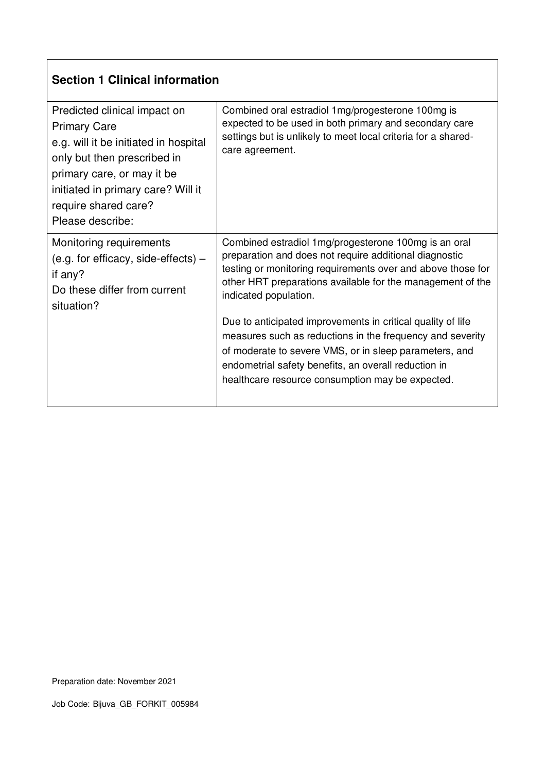| Predicted clinical impact on<br><b>Primary Care</b><br>e.g. will it be initiated in hospital<br>only but then prescribed in<br>primary care, or may it be<br>initiated in primary care? Will it<br>require shared care?<br>Please describe: | Combined oral estradiol 1mg/progesterone 100mg is<br>expected to be used in both primary and secondary care<br>settings but is unlikely to meet local criteria for a shared-<br>care agreement.                                                                                                                                                                                                                                                                                                                                                                        |
|---------------------------------------------------------------------------------------------------------------------------------------------------------------------------------------------------------------------------------------------|------------------------------------------------------------------------------------------------------------------------------------------------------------------------------------------------------------------------------------------------------------------------------------------------------------------------------------------------------------------------------------------------------------------------------------------------------------------------------------------------------------------------------------------------------------------------|
| Monitoring requirements<br>(e.g. for efficacy, side-effects) $-$<br>if any?<br>Do these differ from current<br>situation?                                                                                                                   | Combined estradiol 1mg/progesterone 100mg is an oral<br>preparation and does not require additional diagnostic<br>testing or monitoring requirements over and above those for<br>other HRT preparations available for the management of the<br>indicated population.<br>Due to anticipated improvements in critical quality of life<br>measures such as reductions in the frequency and severity<br>of moderate to severe VMS, or in sleep parameters, and<br>endometrial safety benefits, an overall reduction in<br>healthcare resource consumption may be expected. |
|                                                                                                                                                                                                                                             |                                                                                                                                                                                                                                                                                                                                                                                                                                                                                                                                                                        |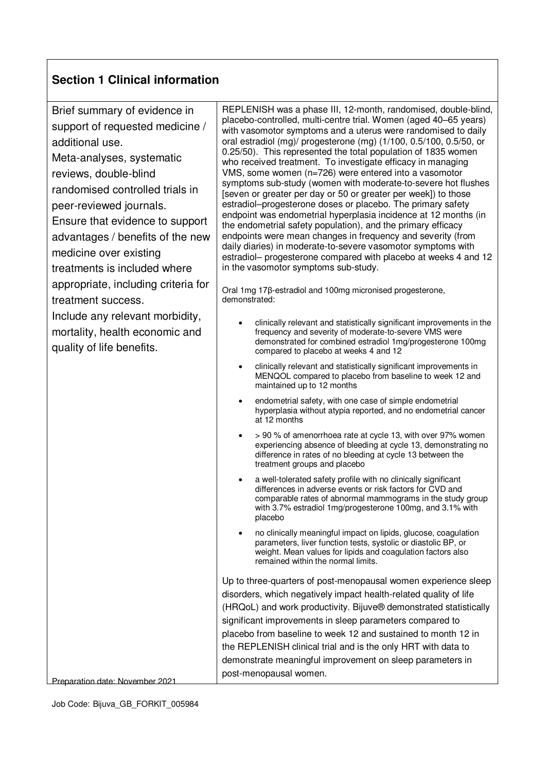| Brief summary of evidence in<br>support of requested medicine /<br>additional use.<br>Meta-analyses, systematic<br>reviews, double-blind<br>randomised controlled trials in<br>peer-reviewed journals.<br>Ensure that evidence to support<br>advantages / benefits of the new<br>medicine over existing<br>treatments is included where | REPLENISH was a phase III, 12-month, randomised, double-blind,<br>placebo-controlled, multi-centre trial. Women (aged 40–65 years)<br>with vasomotor symptoms and a uterus were randomised to daily<br>oral estradiol (mg)/ progesterone (mg) (1/100, 0.5/100, 0.5/50, or<br>0.25/50). This represented the total population of 1835 women<br>who received treatment. To investigate efficacy in managing<br>VMS, some women (n=726) were entered into a vasomotor<br>symptoms sub-study (women with moderate-to-severe hot flushes<br>[seven or greater per day or 50 or greater per week]) to those<br>estradiol-progesterone doses or placebo. The primary safety<br>endpoint was endometrial hyperplasia incidence at 12 months (in<br>the endometrial safety population), and the primary efficacy<br>endpoints were mean changes in frequency and severity (from<br>daily diaries) in moderate-to-severe vasomotor symptoms with<br>estradiol- progesterone compared with placebo at weeks 4 and 12<br>in the vasomotor symptoms sub-study. |
|-----------------------------------------------------------------------------------------------------------------------------------------------------------------------------------------------------------------------------------------------------------------------------------------------------------------------------------------|---------------------------------------------------------------------------------------------------------------------------------------------------------------------------------------------------------------------------------------------------------------------------------------------------------------------------------------------------------------------------------------------------------------------------------------------------------------------------------------------------------------------------------------------------------------------------------------------------------------------------------------------------------------------------------------------------------------------------------------------------------------------------------------------------------------------------------------------------------------------------------------------------------------------------------------------------------------------------------------------------------------------------------------------------|
| appropriate, including criteria for<br>treatment success.                                                                                                                                                                                                                                                                               | Oral 1mg 17β-estradiol and 100mg micronised progesterone,<br>demonstrated:                                                                                                                                                                                                                                                                                                                                                                                                                                                                                                                                                                                                                                                                                                                                                                                                                                                                                                                                                                        |
| Include any relevant morbidity,<br>mortality, health economic and<br>quality of life benefits.                                                                                                                                                                                                                                          | clinically relevant and statistically significant improvements in the<br>frequency and severity of moderate-to-severe VMS were<br>demonstrated for combined estradiol 1mg/progesterone 100mg<br>compared to placebo at weeks 4 and 12                                                                                                                                                                                                                                                                                                                                                                                                                                                                                                                                                                                                                                                                                                                                                                                                             |
|                                                                                                                                                                                                                                                                                                                                         | clinically relevant and statistically significant improvements in<br>$\bullet$<br>MENQOL compared to placebo from baseline to week 12 and<br>maintained up to 12 months                                                                                                                                                                                                                                                                                                                                                                                                                                                                                                                                                                                                                                                                                                                                                                                                                                                                           |
|                                                                                                                                                                                                                                                                                                                                         | endometrial safety, with one case of simple endometrial<br>hyperplasia without atypia reported, and no endometrial cancer<br>at 12 months                                                                                                                                                                                                                                                                                                                                                                                                                                                                                                                                                                                                                                                                                                                                                                                                                                                                                                         |
|                                                                                                                                                                                                                                                                                                                                         | > 90 % of amenorrhoea rate at cycle 13, with over 97% women<br>experiencing absence of bleeding at cycle 13, demonstrating no<br>difference in rates of no bleeding at cycle 13 between the<br>treatment groups and placebo                                                                                                                                                                                                                                                                                                                                                                                                                                                                                                                                                                                                                                                                                                                                                                                                                       |
|                                                                                                                                                                                                                                                                                                                                         | a well-tolerated safety profile with no clinically significant<br>differences in adverse events or risk factors for CVD and<br>comparable rates of abnormal mammograms in the study group<br>with 3.7% estradiol 1mg/progesterone 100mg, and 3.1% with<br>placebo                                                                                                                                                                                                                                                                                                                                                                                                                                                                                                                                                                                                                                                                                                                                                                                 |
|                                                                                                                                                                                                                                                                                                                                         | no clinically meaningful impact on lipids, glucose, coagulation<br>parameters, liver function tests, systolic or diastolic BP, or<br>weight. Mean values for lipids and coagulation factors also<br>remained within the normal limits.                                                                                                                                                                                                                                                                                                                                                                                                                                                                                                                                                                                                                                                                                                                                                                                                            |
| Preparation date: November 2021                                                                                                                                                                                                                                                                                                         | Up to three-quarters of post-menopausal women experience sleep<br>disorders, which negatively impact health-related quality of life<br>(HRQoL) and work productivity. Bijuve® demonstrated statistically<br>significant improvements in sleep parameters compared to<br>placebo from baseline to week 12 and sustained to month 12 in<br>the REPLENISH clinical trial and is the only HRT with data to<br>demonstrate meaningful improvement on sleep parameters in<br>post-menopausal women.                                                                                                                                                                                                                                                                                                                                                                                                                                                                                                                                                     |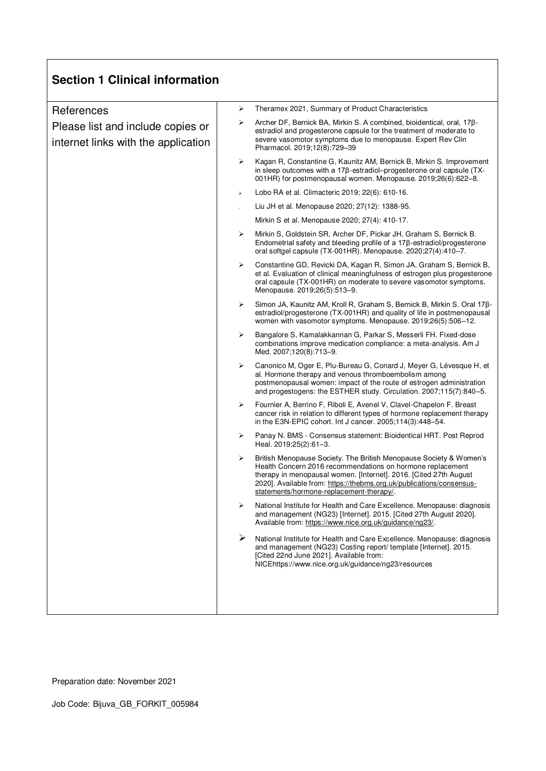| <b>Section 1 Clinical information</b>                                    |                       |                                                                                                                                                                                                                                                                                                                           |
|--------------------------------------------------------------------------|-----------------------|---------------------------------------------------------------------------------------------------------------------------------------------------------------------------------------------------------------------------------------------------------------------------------------------------------------------------|
| References                                                               | ⋗                     | Theramex 2021, Summary of Product Characteristics                                                                                                                                                                                                                                                                         |
| Please list and include copies or<br>internet links with the application | ⋗                     | Archer DF, Bernick BA, Mirkin S. A combined, bioidentical, oral, 17β-<br>estradiol and progesterone capsule for the treatment of moderate to<br>severe vasomotor symptoms due to menopause. Expert Rev Clin<br>Pharmacol. 2019;12(8):729-39                                                                               |
|                                                                          | ≻                     | Kagan R, Constantine G, Kaunitz AM, Bernick B, Mirkin S. Improvement<br>in sleep outcomes with a 17ß-estradiol-progesterone oral capsule (TX-<br>001HR) for postmenopausal women. Menopause. 2019;26(6):622-8.                                                                                                            |
|                                                                          | $\blacktriangleright$ | Lobo RA et al. Climacteric 2019; 22(6): 610-16.                                                                                                                                                                                                                                                                           |
|                                                                          |                       | Liu JH et al. Menopause 2020; 27(12): 1388-95.                                                                                                                                                                                                                                                                            |
|                                                                          |                       | Mirkin S et al. Menopause 2020; 27(4): 410-17.                                                                                                                                                                                                                                                                            |
|                                                                          | ⋗                     | Mirkin S, Goldstein SR, Archer DF, Pickar JH, Graham S, Bernick B.<br>Endometrial safety and bleeding profile of a 178-estradiol/progesterone<br>oral softgel capsule (TX-001HR). Menopause. 2020;27(4):410-7.                                                                                                            |
|                                                                          | ≻                     | Constantine GD, Revicki DA, Kagan R, Simon JA, Graham S, Bernick B,<br>et al. Evaluation of clinical meaningfulness of estrogen plus progesterone<br>oral capsule (TX-001HR) on moderate to severe vasomotor symptoms.<br>Menopause. 2019;26(5):513-9.                                                                    |
|                                                                          | ≻                     | Simon JA, Kaunitz AM, Kroll R, Graham S, Bernick B, Mirkin S, Oral 178-<br>estradiol/progesterone (TX-001HR) and quality of life in postmenopausal<br>women with vasomotor symptoms. Menopause. 2019;26(5):506-12.                                                                                                        |
|                                                                          | ➤                     | Bangalore S, Kamalakkannan G, Parkar S, Messerli FH. Fixed-dose<br>combinations improve medication compliance: a meta-analysis. Am J<br>Med. 2007;120(8):713-9.                                                                                                                                                           |
|                                                                          | ⋗                     | Canonico M, Oger E, Plu-Bureau G, Conard J, Meyer G, Lévesque H, et<br>al. Hormone therapy and venous thromboembolism among<br>postmenopausal women: impact of the route of estrogen administration<br>and progestogens: the ESTHER study. Circulation. 2007;115(7):840-5.                                                |
|                                                                          | ➤                     | Fournier A, Berrino F, Riboli E, Avenel V, Clavel-Chapelon F. Breast<br>cancer risk in relation to different types of hormone replacement therapy<br>in the E3N-EPIC cohort. Int J cancer. 2005;114(3):448-54.                                                                                                            |
|                                                                          | ➤                     | Panay N. BMS - Consensus statement: Bioidentical HRT. Post Reprod<br>Heal. 2019;25(2):61-3.                                                                                                                                                                                                                               |
|                                                                          | ≻                     | British Menopause Society. The British Menopause Society & Women's<br>Health Concern 2016 recommendations on hormone replacement<br>therapy in menopausal women. [Internet]. 2016. [Cited 27th August<br>2020]. Available from: https://thebms.org.uk/publications/consensus-<br>statements/hormone-replacement-therapy/. |
|                                                                          | ⋗                     | National Institute for Health and Care Excellence. Menopause: diagnosis<br>and management (NG23) [Internet]. 2015. [Cited 27th August 2020].<br>Available from: https://www.nice.org.uk/guidance/ng23/.                                                                                                                   |
|                                                                          | ➤                     | National Institute for Health and Care Excellence. Menopause: diagnosis<br>and management (NG23) Costing report/ template [Internet]. 2015.<br>[Cited 22nd June 2021]. Available from:<br>NICEhttps://www.nice.org.uk/guidance/ng23/resources                                                                             |
|                                                                          |                       |                                                                                                                                                                                                                                                                                                                           |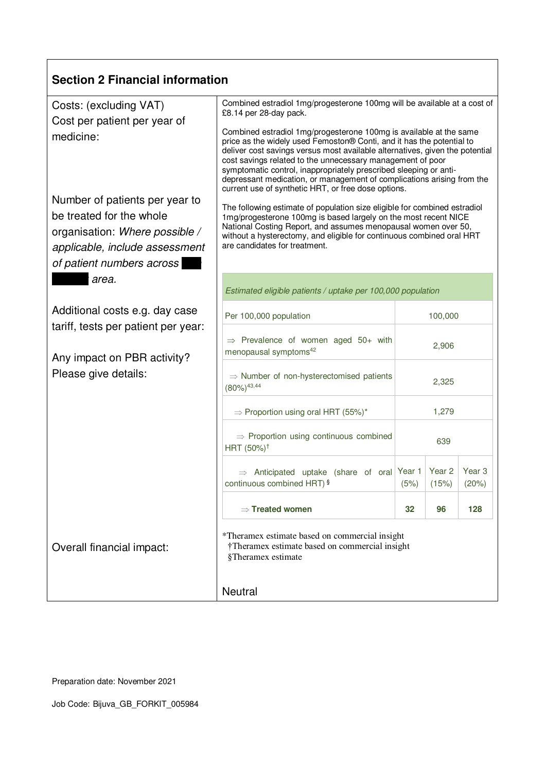| <b>Section 2 Financial information</b>                                                                                                                                                                                             |                                                                                                                                                                                                                                                                                                                                                                                                                                                                                                                                                                                                                                                                                                                                                                                                                                                                                                                                   |         |                 |                 |  |
|------------------------------------------------------------------------------------------------------------------------------------------------------------------------------------------------------------------------------------|-----------------------------------------------------------------------------------------------------------------------------------------------------------------------------------------------------------------------------------------------------------------------------------------------------------------------------------------------------------------------------------------------------------------------------------------------------------------------------------------------------------------------------------------------------------------------------------------------------------------------------------------------------------------------------------------------------------------------------------------------------------------------------------------------------------------------------------------------------------------------------------------------------------------------------------|---------|-----------------|-----------------|--|
| Costs: (excluding VAT)<br>Cost per patient per year of<br>medicine:<br>Number of patients per year to<br>be treated for the whole<br>organisation: Where possible /<br>applicable, include assessment<br>of patient numbers across | Combined estradiol 1mg/progesterone 100mg will be available at a cost of<br>£8.14 per 28-day pack.<br>Combined estradiol 1mg/progesterone 100mg is available at the same<br>price as the widely used Femoston® Conti, and it has the potential to<br>deliver cost savings versus most available alternatives, given the potential<br>cost savings related to the unnecessary management of poor<br>symptomatic control, inappropriately prescribed sleeping or anti-<br>depressant medication, or management of complications arising from the<br>current use of synthetic HRT, or free dose options.<br>The following estimate of population size eligible for combined estradiol<br>1mg/progesterone 100mg is based largely on the most recent NICE<br>National Costing Report, and assumes menopausal women over 50,<br>without a hysterectomy, and eligible for continuous combined oral HRT<br>are candidates for treatment. |         |                 |                 |  |
| area.                                                                                                                                                                                                                              | Estimated eligible patients / uptake per 100,000 population                                                                                                                                                                                                                                                                                                                                                                                                                                                                                                                                                                                                                                                                                                                                                                                                                                                                       |         |                 |                 |  |
| Additional costs e.g. day case<br>tariff, tests per patient per year:<br>Any impact on PBR activity?<br>Please give details:                                                                                                       | Per 100,000 population                                                                                                                                                                                                                                                                                                                                                                                                                                                                                                                                                                                                                                                                                                                                                                                                                                                                                                            | 100,000 |                 |                 |  |
|                                                                                                                                                                                                                                    | $\Rightarrow$ Prevalence of women aged 50+ with<br>2,906<br>menopausal symptoms <sup>42</sup>                                                                                                                                                                                                                                                                                                                                                                                                                                                                                                                                                                                                                                                                                                                                                                                                                                     |         |                 |                 |  |
|                                                                                                                                                                                                                                    | $\Rightarrow$ Number of non-hysterectomised patients<br>$(80\%)$ <sup>43,44</sup>                                                                                                                                                                                                                                                                                                                                                                                                                                                                                                                                                                                                                                                                                                                                                                                                                                                 | 2,325   |                 |                 |  |
|                                                                                                                                                                                                                                    | $\Rightarrow$ Proportion using oral HRT (55%)*<br>1,279                                                                                                                                                                                                                                                                                                                                                                                                                                                                                                                                                                                                                                                                                                                                                                                                                                                                           |         |                 |                 |  |
|                                                                                                                                                                                                                                    | $\Rightarrow$ Proportion using continuous combined<br>HRT (50%) <sup>+</sup>                                                                                                                                                                                                                                                                                                                                                                                                                                                                                                                                                                                                                                                                                                                                                                                                                                                      | 639     |                 |                 |  |
|                                                                                                                                                                                                                                    | $\Rightarrow$ Anticipated uptake (share of oral Year 1<br>continuous combined HRT) §                                                                                                                                                                                                                                                                                                                                                                                                                                                                                                                                                                                                                                                                                                                                                                                                                                              | (5%)    | Year 2<br>(15%) | Year 3<br>(20%) |  |
|                                                                                                                                                                                                                                    | $\Rightarrow$ Treated women                                                                                                                                                                                                                                                                                                                                                                                                                                                                                                                                                                                                                                                                                                                                                                                                                                                                                                       | 32      | 96              | 128             |  |
| Overall financial impact:                                                                                                                                                                                                          | *Theramex estimate based on commercial insight<br>†Theramex estimate based on commercial insight<br>§Theramex estimate<br>Neutral                                                                                                                                                                                                                                                                                                                                                                                                                                                                                                                                                                                                                                                                                                                                                                                                 |         |                 |                 |  |
|                                                                                                                                                                                                                                    |                                                                                                                                                                                                                                                                                                                                                                                                                                                                                                                                                                                                                                                                                                                                                                                                                                                                                                                                   |         |                 |                 |  |

Preparation date: November 2021

Г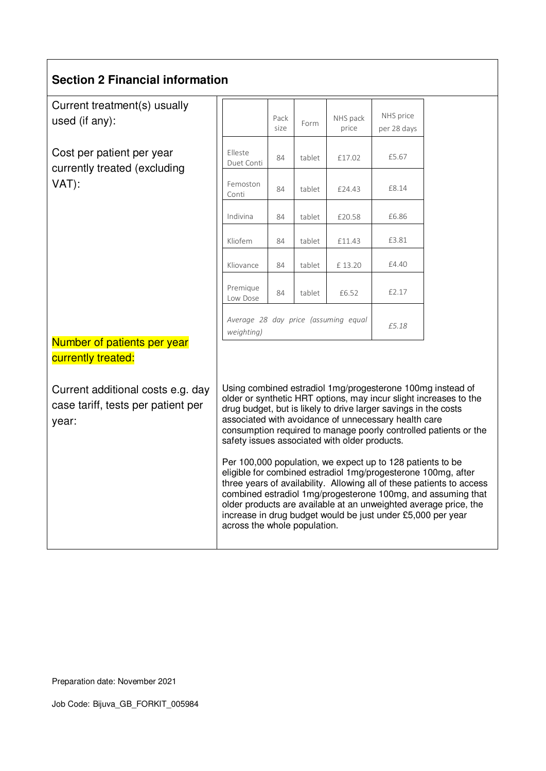#### **Section 2 Financial information**

Current treatment(s) usually used (if any):

Cost per patient per year currently treated (excluding VAT):

|                                                    | Pack<br>size | Form   | NHS pack<br>price | NHS price<br>per 28 days |
|----------------------------------------------------|--------------|--------|-------------------|--------------------------|
| Elleste<br>Duet Conti                              | 84           | tablet | £17.02            | £5.67                    |
| Femoston<br>Conti                                  | 84           | tablet | £24.43            | £8.14                    |
| Indivina                                           | 84           | tablet | £20.58            | £6.86                    |
| Kliofem                                            | 84           | tablet | £11.43            | £3.81                    |
| Kliovance                                          | 84           | tablet | £13.20            | £4.40                    |
| Premique<br>Low Dose                               | 84           | tablet | £6.52             | £2.17                    |
| Average 28 day price (assuming equal<br>weighting) |              |        | £5.18             |                          |

Number of patients per year currently treated:

Current additional costs e.g. day case tariff, tests per patient per year:

Using combined estradiol 1mg/progesterone 100mg instead of older or synthetic HRT options, may incur slight increases to the drug budget, but is likely to drive larger savings in the costs associated with avoidance of unnecessary health care consumption required to manage poorly controlled patients or the safety issues associated with older products.

Per 100,000 population, we expect up to 128 patients to be eligible for combined estradiol 1mg/progesterone 100mg, after three years of availability. Allowing all of these patients to access combined estradiol 1mg/progesterone 100mg, and assuming that older products are available at an unweighted average price, the increase in drug budget would be just under £5,000 per year across the whole population.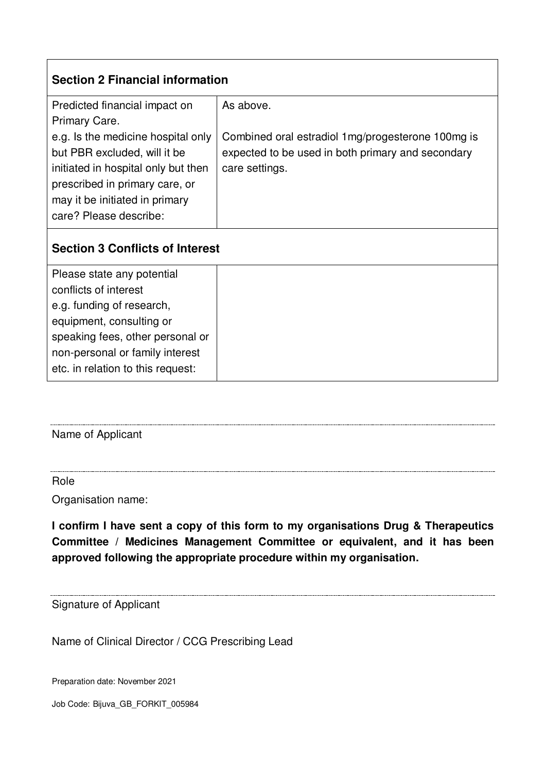| <b>Section 2 Financial information</b> |                                                   |  |  |  |
|----------------------------------------|---------------------------------------------------|--|--|--|
| Predicted financial impact on          | As above.                                         |  |  |  |
| Primary Care.                          |                                                   |  |  |  |
| e.g. Is the medicine hospital only     | Combined oral estradiol 1mg/progesterone 100mg is |  |  |  |
| but PBR excluded, will it be           | expected to be used in both primary and secondary |  |  |  |
| initiated in hospital only but then    | care settings.                                    |  |  |  |
| prescribed in primary care, or         |                                                   |  |  |  |
| may it be initiated in primary         |                                                   |  |  |  |
| care? Please describe:                 |                                                   |  |  |  |

## **Section 3 Conflicts of Interest**

| Please state any potential        |  |
|-----------------------------------|--|
| conflicts of interest             |  |
| e.g. funding of research,         |  |
| equipment, consulting or          |  |
| speaking fees, other personal or  |  |
| non-personal or family interest   |  |
| etc. in relation to this request: |  |

Name of Applicant

#### Role

Organisation name:

**I confirm I have sent a copy of this form to my organisations Drug & Therapeutics Committee / Medicines Management Committee or equivalent, and it has been approved following the appropriate procedure within my organisation.** 

Signature of Applicant

Name of Clinical Director / CCG Prescribing Lead

Preparation date: November 2021